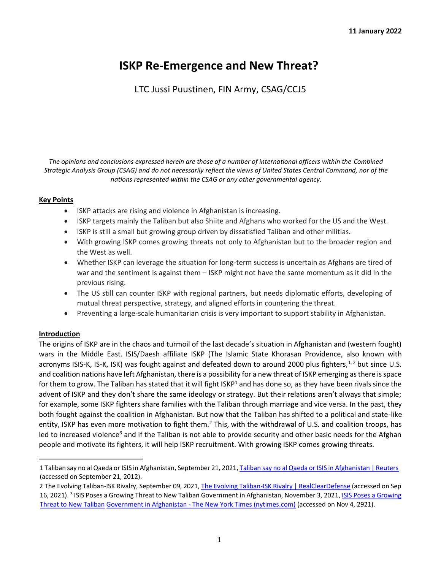# **ISKP Re-Emergence and New Threat?**

LTC Jussi Puustinen, FIN Army, CSAG/CCJ5

*The opinions and conclusions expressed herein are those of a number of international officers within the Combined Strategic Analysis Group (CSAG) and do not necessarily reflect the views of United States Central Command, nor of the nations represented within the CSAG or any other governmental agency.*

# **Key Points**

- ISKP attacks are rising and violence in Afghanistan is increasing.
- ISKP targets mainly the Taliban but also Shiite and Afghans who worked for the US and the West.
- ISKP is still a small but growing group driven by dissatisfied Taliban and other militias.
- With growing ISKP comes growing threats not only to Afghanistan but to the broader region and the West as well.
- Whether ISKP can leverage the situation for long-term success is uncertain as Afghans are tired of war and the sentiment is against them – ISKP might not have the same momentum as it did in the previous rising.
- The US still can counter ISKP with regional partners, but needs diplomatic efforts, developing of mutual threat perspective, strategy, and aligned efforts in countering the threat.
- Preventing a large-scale humanitarian crisis is very important to support stability in Afghanistan.

# **Introduction**

The origins of ISKP are in the chaos and turmoil of the last decade's situation in Afghanistan and (western fought) wars in the Middle East. ISIS/Daesh affiliate ISKP (The Islamic State Khorasan Providence, also known with acronyms ISIS-K, IS-K, ISK) was fought against and defeated down to around 2000 plus fighters,  $1, 2$  but since U.S. and coalition nations have left Afghanistan, there is a possibility for a new threat of ISKP emerging as there is space for them to grow. The Taliban has stated that it will fight  $ISKP<sup>1</sup>$  and has done so, as they have been rivals since the advent of ISKP and they don't share the same ideology or strategy. But their relations aren't always that simple; for example, some ISKP fighters share families with the Taliban through marriage and vice versa. In the past, they both fought against the coalition in Afghanistan. But now that the Taliban has shifted to a political and state-like entity, ISKP has even more motivation to fight them.<sup>2</sup> This, with the withdrawal of U.S. and coalition troops, has led to increased violence<sup>3</sup> and if the Taliban is not able to provide security and other basic needs for the Afghan people and motivate its fighters, it will help ISKP recruitment. With growing ISKP comes growing threats.

<sup>1</sup> Taliban say no al Qaeda or ISIS in Afghanistan, September 21, 202[1, Taliban say no al Qaeda or ISIS in Afghanistan | Reuters](https://www.reuters.com/world/asia-pacific/taliban-say-no-al-qaeda-or-isis-afghanistan-2021-09-21/?rpc=401&) [\(a](https://www.reuters.com/world/asia-pacific/taliban-say-no-al-qaeda-or-isis-afghanistan-2021-09-21/?rpc=401&)ccessed on September 21, 2012).

<sup>2</sup> The Evolving Taliban-ISK Rivalry, September 09, 202[1, The Evolving Taliban-ISK Rivalry | RealClearDefense](https://www.realcleardefense.com/articles/2021/09/09/the_evolving_taliban-isk_rivalry_793603.html#!) [\(a](https://www.realcleardefense.com/articles/2021/09/09/the_evolving_taliban-isk_rivalry_793603.html#!)ccessed on Sep 16, 2021). <sup>3</sup> ISIS Poses a Growing Threat to New Taliban Government in Afghanistan, November 3, 2021, ISIS Poses a Growing [Threat to New Taliban](https://www.nytimes.com/2021/11/03/world/asia/isis-afghanistan-taliban.html) [Government in Afghanistan -](https://www.nytimes.com/2021/11/03/world/asia/isis-afghanistan-taliban.html) [The](https://www.nytimes.com/2021/11/03/world/asia/isis-afghanistan-taliban.html) [New York Times \(nytimes.com\)](https://www.nytimes.com/2021/11/03/world/asia/isis-afghanistan-taliban.html) [\(a](https://www.nytimes.com/2021/11/03/world/asia/isis-afghanistan-taliban.html)ccessed on Nov 4, 2921).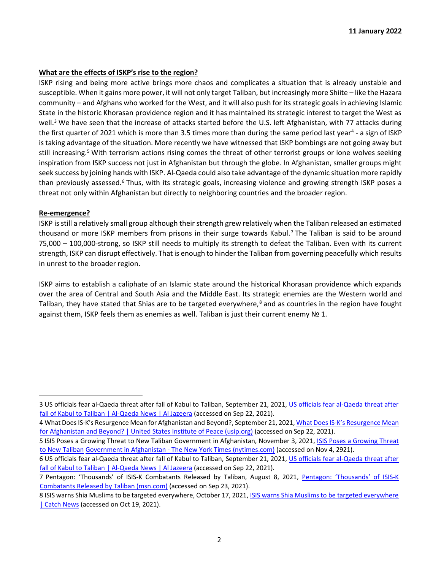#### **What are the effects of ISKP's rise to the region?**

ISKP rising and being more active brings more chaos and complicates a situation that is already unstable and susceptible. When it gains more power, it will not only target Taliban, but increasingly more Shiite – like the Hazara community – and Afghans who worked for the West, and it will also push for its strategic goals in achieving Islamic State in the historic Khorasan providence region and it has maintained its strategic interest to target the West as well.<sup>3</sup> We have seen that the increase of attacks started before the U.S. left Afghanistan, with 77 attacks during the first quarter of 2021 which is more than 3.5 times more than during the same period last year<sup>4</sup> - a sign of ISKP is taking advantage of the situation. More recently we have witnessed that ISKP bombings are not going away but still increasing.<sup>5</sup> With terrorism actions rising comes the threat of other terrorist groups or lone wolves seeking inspiration from ISKP success not just in Afghanistan but through the globe. In Afghanistan, smaller groups might seek success by joining hands with ISKP. Al-Qaeda could also take advantage of the dynamic situation more rapidly than previously assessed.<sup>6</sup> Thus, with its strategic goals, increasing violence and growing strength ISKP poses a threat not only within Afghanistan but directly to neighboring countries and the broader region.

#### **Re-emergence?**

ISKP is still a relatively small group although their strength grew relatively when the Taliban released an estimated thousand or more ISKP members from prisons in their surge towards Kabul.<sup>7</sup> The Taliban is said to be around 75,000 – 100,000-strong, so ISKP still needs to multiply its strength to defeat the Taliban. Even with its current strength, ISKP can disrupt effectively. That is enough to hinder the Taliban from governing peacefully which results in unrest to the broader region.

ISKP aims to establish a caliphate of an Islamic state around the historical Khorasan providence which expands over the area of Central and South Asia and the Middle East. Its strategic enemies are the Western world and Taliban, they have stated that Shias are to be targeted everywhere, $8$  and as countries in the region have fought against them, ISKP feels them as enemies as well. Taliban is just their current enemy Nº 1.

<sup>3</sup> US officials fear al-Qaeda threat after fall of Kabul to Taliban, September 21, 202[1, US officials fear al-Qaeda threat after](https://www.aljazeera.com/news/2021/9/21/us-officials-fear-al-qaeda-threat-after-fall-of-kabul-to-taliban)  [fall of Kabul to Taliban | Al-Qaeda News | Al Jazeera](https://www.aljazeera.com/news/2021/9/21/us-officials-fear-al-qaeda-threat-after-fall-of-kabul-to-taliban) [\(a](https://www.aljazeera.com/news/2021/9/21/us-officials-fear-al-qaeda-threat-after-fall-of-kabul-to-taliban)ccessed on Sep 22, 2021).

<sup>4</sup> What Does IS-K's Resurgence Mean for Afghanistan and Beyond?, September 21, 202[1, What Does IS-](https://www.usip.org/publications/2021/09/what-does-ks-resurgence-mean-afghanistan-and-beyond)K's Resurgence Mean [for Afghanistan and Beyond? | United States Institute of Peace \(usip.org\)](https://www.usip.org/publications/2021/09/what-does-ks-resurgence-mean-afghanistan-and-beyond) [\(a](https://www.usip.org/publications/2021/09/what-does-ks-resurgence-mean-afghanistan-and-beyond)ccessed on Sep 22, 2021).

<sup>5</sup> ISIS Poses a Growing Threat to New Taliban Government in Afghanistan, November 3, 202[1, ISIS Poses a Growing Threat](https://www.nytimes.com/2021/11/03/world/asia/isis-afghanistan-taliban.html)  [to New Taliban](https://www.nytimes.com/2021/11/03/world/asia/isis-afghanistan-taliban.html) [Government in Afghanistan -](https://www.nytimes.com/2021/11/03/world/asia/isis-afghanistan-taliban.html) [The New York Times \(nytimes.com\)](https://www.nytimes.com/2021/11/03/world/asia/isis-afghanistan-taliban.html) [\(a](https://www.nytimes.com/2021/11/03/world/asia/isis-afghanistan-taliban.html)ccessed on Nov 4, 2921).

<sup>6</sup> US officials fear al-Qaeda threat after fall of Kabul to Taliban, September 21, 202[1, US officials fear al-Qaeda threat after](https://www.aljazeera.com/news/2021/9/21/us-officials-fear-al-qaeda-threat-after-fall-of-kabul-to-taliban)  [fall of Kabul to Taliban | Al-Qaeda News | Al Jazeera](https://www.aljazeera.com/news/2021/9/21/us-officials-fear-al-qaeda-threat-after-fall-of-kabul-to-taliban) [\(a](https://www.aljazeera.com/news/2021/9/21/us-officials-fear-al-qaeda-threat-after-fall-of-kabul-to-taliban)ccessed on Sep 22, 2021).

<sup>7</sup> Pentagon: 'Thousands' of ISIS-K Combatants Released by Taliban, August 8, 202[1,](https://www.msn.com/en-us/news/world/pentagon-thousands-of-isis-k-combatants-released-by-taliban/ar-AANP475) [Pentagon: 'Thousands' of ISIS](https://www.msn.com/en-us/news/world/pentagon-thousands-of-isis-k-combatants-released-by-taliban/ar-AANP475)[-K](https://www.msn.com/en-us/news/world/pentagon-thousands-of-isis-k-combatants-released-by-taliban/ar-AANP475)  [Combatants Released by Taliban \(msn.com\)](https://www.msn.com/en-us/news/world/pentagon-thousands-of-isis-k-combatants-released-by-taliban/ar-AANP475) [\(a](https://www.msn.com/en-us/news/world/pentagon-thousands-of-isis-k-combatants-released-by-taliban/ar-AANP475)ccessed on Sep 23, 2021).

<sup>8</sup> ISIS warns Shia Muslims to be targeted everywhere, October 17, 202[1, ISIS warns Shia Muslims to be targeted everywhere](http://www.catchnews.com/world/isis-warns-shia-muslims-to-be-targeted-everywhere-224819.html)  [| Catch News](http://www.catchnews.com/world/isis-warns-shia-muslims-to-be-targeted-everywhere-224819.html) [\(a](http://www.catchnews.com/world/isis-warns-shia-muslims-to-be-targeted-everywhere-224819.html)ccessed on Oct 19, 2021).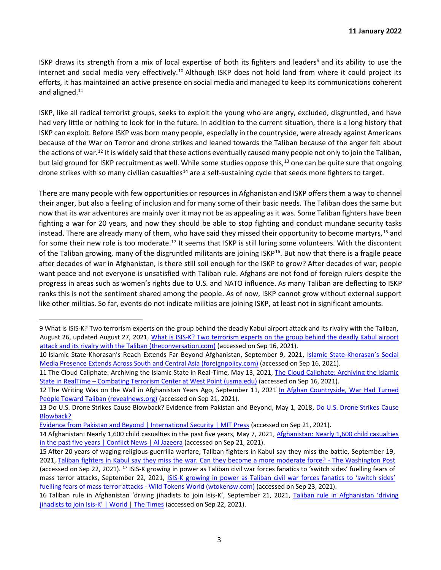ISKP draws its strength from a mix of local expertise of both its fighters and leaders<sup>9</sup> and its ability to use the internet and social media very effectively.<sup>10</sup> Although ISKP does not hold land from where it could project its efforts, it has maintained an active presence on social media and managed to keep its communications coherent and aligned.<sup>11</sup>

ISKP, like all radical terrorist groups, seeks to exploit the young who are angry, excluded, disgruntled, and have had very little or nothing to look for in the future. In addition to the current situation, there is a long history that ISKP can exploit. Before ISKP was born many people, especially in the countryside, were already against Americans because of the War on Terror and drone strikes and leaned towards the Taliban because of the anger felt about the actions of war.<sup>12</sup> It is widely said that these actions eventually caused many people not only to join the Taliban, but laid ground for ISKP recruitment as well. While some studies oppose this,<sup>13</sup> one can be quite sure that ongoing drone strikes with so many civilian casualties<sup>14</sup> are a self-sustaining cycle that seeds more fighters to target.

There are many people with few opportunities or resources in Afghanistan and ISKP offers them a way to channel their anger, but also a feeling of inclusion and for many some of their basic needs. The Taliban does the same but now that its war adventures are mainly over it may not be as appealing as it was. Some Taliban fighters have been fighting a war for 20 years, and now they should be able to stop fighting and conduct mundane security tasks instead. There are already many of them, who have said they missed their opportunity to become martyrs,<sup>15</sup> and for some their new role is too moderate.<sup>17</sup> It seems that ISKP is still luring some volunteers. With the discontent of the Taliban growing, many of the disgruntled militants are joining ISKP<sup>16</sup>. But now that there is a fragile peace after decades of war in Afghanistan, is there still soil enough for the ISKP to grow? After decades of war, people want peace and not everyone is unsatisfied with Taliban rule. Afghans are not fond of foreign rulers despite the progress in areas such as women's rights due to U.S. and NATO influence. As many Taliban are deflecting to ISKP ranks this is not the sentiment shared among the people. As of now, ISKP cannot grow without external support like other militias. So far, events do not indicate militias are joining ISKP, at least not in significant amounts.

<sup>9</sup> What is ISIS-K? Two terrorism experts on the group behind the deadly Kabul airport attack and its rivalry with the Taliban, August 26, updated August 27, 202[1, What is ISIS-K? Two terrorism experts on the group behind the deadly Kabul airport](https://theconversation.com/what-is-isis-k-two-terrorism-experts-on-the-group-behind-the-deadly-kabul-airport-attack-and-its-rivalry-with-the-taliban-166873)  [attack and its rivalry with the Taliban \(theconversation.com\)](https://theconversation.com/what-is-isis-k-two-terrorism-experts-on-the-group-behind-the-deadly-kabul-airport-attack-and-its-rivalry-with-the-taliban-166873) [\(a](https://theconversation.com/what-is-isis-k-two-terrorism-experts-on-the-group-behind-the-deadly-kabul-airport-attack-and-its-rivalry-with-the-taliban-166873)ccessed on Sep 16, 2021).

<sup>10</sup> Islamic State-Khorasan's Reach Extends Far Beyond Afghanistan, September 9, 2021[, Islamic State-](https://foreignpolicy.com/2021/09/09/islamic-state-khorasan-afghanistan-pakistan-central-asia-online-extremism-terrorism/)[Khorasan's Social](https://foreignpolicy.com/2021/09/09/islamic-state-khorasan-afghanistan-pakistan-central-asia-online-extremism-terrorism/)  [Media Presence Extends Across South and Central Asia \(foreignpolicy.com\)](https://foreignpolicy.com/2021/09/09/islamic-state-khorasan-afghanistan-pakistan-central-asia-online-extremism-terrorism/) [\(a](https://foreignpolicy.com/2021/09/09/islamic-state-khorasan-afghanistan-pakistan-central-asia-online-extremism-terrorism/)ccessed on Sep 16, 2021).

<sup>11</sup> The Cloud Caliphate: Archiving the Islamic State in Real-Time, May 13, 202[1, The Cloud Caliphate: Archiving the Islamic](https://ctc.usma.edu/the-cloud-caliphate-archiving-the-islamic-state-in-real-time/)  [State in RealTime](https://ctc.usma.edu/the-cloud-caliphate-archiving-the-islamic-state-in-real-time/) [–](https://ctc.usma.edu/the-cloud-caliphate-archiving-the-islamic-state-in-real-time/) [Combating Terrorism Center at West Point \(usma.edu\)](https://ctc.usma.edu/the-cloud-caliphate-archiving-the-islamic-state-in-real-time/) [\(a](https://ctc.usma.edu/the-cloud-caliphate-archiving-the-islamic-state-in-real-time/)ccessed on Sep 16, 2021).

<sup>12</sup> The Writing Was on the Wall in Afghanistan Years Ago, September 11, 2021 In Afghan Countryside, War Had Turned [People Toward Taliban \(revealnews.org\)](https://revealnews.org/article/the-writing-was-on-the-wall-in-afghanistan-years-ago/) [\(a](https://revealnews.org/article/the-writing-was-on-the-wall-in-afghanistan-years-ago/)ccessed on Sep 21, 2021).

<sup>13</sup> Do U.S. Drone Strikes Cause Blowback? Evidence from Pakistan and Beyond, May 1, 201[8, Do U.S. Drone Strikes Cause](https://direct.mit.edu/isec/article/42/4/47/12192/Do-U-S-Drone-Strikes-Cause-Blowback-Evidence-from)  [Blowback?](https://direct.mit.edu/isec/article/42/4/47/12192/Do-U-S-Drone-Strikes-Cause-Blowback-Evidence-from) 

[Evidence from Pakistan and Beyond | International Security | MIT Press](https://direct.mit.edu/isec/article/42/4/47/12192/Do-U-S-Drone-Strikes-Cause-Blowback-Evidence-from) [\(a](https://direct.mit.edu/isec/article/42/4/47/12192/Do-U-S-Drone-Strikes-Cause-Blowback-Evidence-from)ccessed on Sep 21, 2021).

<sup>14</sup> Afghanistan: Nearly 1,600 child casualties in the past five years, May 7, 202[1, Afghanistan: Nearly 1,600 child casualties](https://www.aljazeera.com/news/2021/5/7/afghanistan-nearly-1600-children-killed-in-the-past-five-years?_sc_token=v2%253AcHeeEXRRAxrgRL5ib_FgsB3_iHdpxHVOfM8jJmoeybpu1LbSir4-XsPfobjbJ40ES-8qR1N1yur4e4WEOaMQ2A7vB-XnC4Nj84akia6zlvtcRteFKEFafZSZQL2luhMmv7FvfKpX5_xix5hSV4-3dTLKtimrDfo2gEfZc3_4f5yX4eMumy3-MO8HNbx6OKXA)  [in the past five years | Conflict News | Al Jazeera](https://www.aljazeera.com/news/2021/5/7/afghanistan-nearly-1600-children-killed-in-the-past-five-years?_sc_token=v2%253AcHeeEXRRAxrgRL5ib_FgsB3_iHdpxHVOfM8jJmoeybpu1LbSir4-XsPfobjbJ40ES-8qR1N1yur4e4WEOaMQ2A7vB-XnC4Nj84akia6zlvtcRteFKEFafZSZQL2luhMmv7FvfKpX5_xix5hSV4-3dTLKtimrDfo2gEfZc3_4f5yX4eMumy3-MO8HNbx6OKXA) [\(a](https://www.aljazeera.com/news/2021/5/7/afghanistan-nearly-1600-children-killed-in-the-past-five-years?_sc_token=v2%253AcHeeEXRRAxrgRL5ib_FgsB3_iHdpxHVOfM8jJmoeybpu1LbSir4-XsPfobjbJ40ES-8qR1N1yur4e4WEOaMQ2A7vB-XnC4Nj84akia6zlvtcRteFKEFafZSZQL2luhMmv7FvfKpX5_xix5hSV4-3dTLKtimrDfo2gEfZc3_4f5yX4eMumy3-MO8HNbx6OKXA)ccessed on Sep 21, 2021).

<sup>15</sup> After 20 years of waging religious guerrilla warfare, Taliban fighters in Kabul say they miss the battle, September 19, 2021, [Taliban fighters in Kabul say they miss the war. Can they become a more moderate force? -](https://www.washingtonpost.com/world/2021/09/19/afghanistan-taliban-fighters/) [The Washington Post](https://www.washingtonpost.com/world/2021/09/19/afghanistan-taliban-fighters/) [\(a](https://www.washingtonpost.com/world/2021/09/19/afghanistan-taliban-fighters/)ccessed on Sep 22, 2021). <sup>17</sup> ISIS-K growing in power as Taliban civil war forces fanatics to 'switch sides' fuelling fears of mass terror attacks, September 22, 2021, [ISIS-K](https://wtokensw.com/world-news/isis-k-growing-in-power-as-taliban-civil-war-forces-fanatics-to-switch-sides-fuelling-fears-of-mass-terror-attacks/) growing in power as Taliban [civil war forces fanatics to 'switch sides'](https://wtokensw.com/world-news/isis-k-growing-in-power-as-taliban-civil-war-forces-fanatics-to-switch-sides-fuelling-fears-of-mass-terror-attacks/)  [fuelling fears of mass terror attacks -](https://wtokensw.com/world-news/isis-k-growing-in-power-as-taliban-civil-war-forces-fanatics-to-switch-sides-fuelling-fears-of-mass-terror-attacks/) [Wild Tokens World \(wtokensw.com\)](https://wtokensw.com/world-news/isis-k-growing-in-power-as-taliban-civil-war-forces-fanatics-to-switch-sides-fuelling-fears-of-mass-terror-attacks/) [\(a](https://wtokensw.com/world-news/isis-k-growing-in-power-as-taliban-civil-war-forces-fanatics-to-switch-sides-fuelling-fears-of-mass-terror-attacks/)ccessed on Sep 23, 2021).

<sup>16</sup> Taliban rule in Afghanistan 'driving jihadists to join Isis‑K', September 21, 2021[,](https://www.thetimes.co.uk/article/taliban-rule-in-afghanistan-driving-jihadists-to-join-isis-k-w5w7n8vw0) [Taliban rule in Afghanistan 'driving](https://www.thetimes.co.uk/article/taliban-rule-in-afghanistan-driving-jihadists-to-join-isis-k-w5w7n8vw0)  [jihadists to join Isis-](https://www.thetimes.co.uk/article/taliban-rule-in-afghanistan-driving-jihadists-to-join-isis-k-w5w7n8vw0)[K' | World | The Times](https://www.thetimes.co.uk/article/taliban-rule-in-afghanistan-driving-jihadists-to-join-isis-k-w5w7n8vw0) [\(a](https://www.thetimes.co.uk/article/taliban-rule-in-afghanistan-driving-jihadists-to-join-isis-k-w5w7n8vw0)ccessed on Sep 22, 2021).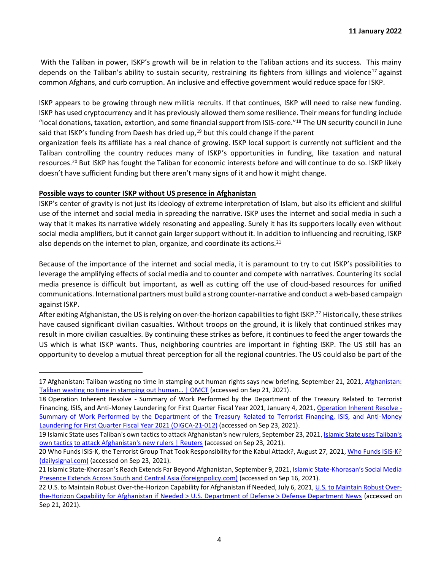With the Taliban in power, ISKP's growth will be in relation to the Taliban actions and its success. This mainy depends on the Taliban's ability to sustain security, restraining its fighters from killings and violence<sup>17</sup> against common Afghans, and curb corruption. An inclusive and effective government would reduce space for ISKP.

ISKP appears to be growing through new militia recruits. If that continues, ISKP will need to raise new funding. ISKP has used cryptocurrency and it has previously allowed them some resilience. Their means for funding include "local donations, taxation, extortion, and some financial support from ISIS-core."<sup>18</sup> The UN security council in June said that ISKP's funding from Daesh has dried up, $19$  but this could change if the parent

organization feels its affiliate has a real chance of growing. ISKP local support is currently not sufficient and the Taliban controlling the country reduces many of ISKP's opportunities in funding, like taxation and natural resources.<sup>20</sup> But ISKP has fought the Taliban for economic interests before and will continue to do so. ISKP likely doesn't have sufficient funding but there aren't many signs of it and how it might change.

## **Possible ways to counter ISKP without US presence in Afghanistan**

ISKP's center of gravity is not just its ideology of extreme interpretation of Islam, but also its efficient and skillful use of the internet and social media in spreading the narrative. ISKP uses the internet and social media in such a way that it makes its narrative widely resonating and appealing. Surely it has its supporters locally even without social media amplifiers, but it cannot gain larger support without it. In addition to influencing and recruiting, ISKP also depends on the internet to plan, organize, and coordinate its actions.<sup>21</sup>

Because of the importance of the internet and social media, it is paramount to try to cut ISKP's possibilities to leverage the amplifying effects of social media and to counter and compete with narratives. Countering its social media presence is difficult but important, as well as cutting off the use of cloud-based resources for unified communications. International partners must build a strong counter-narrative and conduct a web-based campaign against ISKP.

After exiting Afghanistan, the US is relying on over-the-horizon capabilities to fight ISKP.<sup>22</sup> Historically, these strikes have caused significant civilian casualties. Without troops on the ground, it is likely that continued strikes may result in more civilian casualties. By continuing these strikes as before, it continues to feed the anger towards the US which is what ISKP wants. Thus, neighboring countries are important in fighting ISKP. The US still has an opportunity to develop a mutual threat perception for all the regional countries. The US could also be part of the

<sup>17</sup> Afghanistan: Taliban wasting no time in stamping out human rights says new briefing, September 21, 202[1, Afghanistan:](https://www.omct.org/en/resources/reports/afghanistan-taliban-wasting-no-time-in-stamping-out-human-rights-says-new-briefing)  [Taliban](https://www.omct.org/en/resources/reports/afghanistan-taliban-wasting-no-time-in-stamping-out-human-rights-says-new-briefing) [wasting no time in stamping out human… | OMCT](https://www.omct.org/en/resources/reports/afghanistan-taliban-wasting-no-time-in-stamping-out-human-rights-says-new-briefing) [\(a](https://www.omct.org/en/resources/reports/afghanistan-taliban-wasting-no-time-in-stamping-out-human-rights-says-new-briefing)ccessed on Sep 21, 2021).

<sup>18</sup> Operation Inherent Resolve - Summary of Work Performed by the Department of the Treasury Related to Terrorist Financing, ISIS, and Anti-Money Laundering for First Quarter Fiscal Year 2021, January 4, 202[1, Operation Inherent Resolve -](https://oig.treasury.gov/sites/oig/files/2021-01/OIG-CA-21-012.pdf) [Summary of Work Performed by the Department of the Treasury Related to Terrorist Financing, ISIS, and Anti-Money](https://oig.treasury.gov/sites/oig/files/2021-01/OIG-CA-21-012.pdf)  [Laundering for First Quarter Fiscal Year 2021 \(OIGCA-21-012\)](https://oig.treasury.gov/sites/oig/files/2021-01/OIG-CA-21-012.pdf) [\(a](https://oig.treasury.gov/sites/oig/files/2021-01/OIG-CA-21-012.pdf)ccessed on Sep 23, 2021).

<sup>19</sup> Islamic State uses Taliban's own tactics to attack Afghanistan's new rulers, September 23, 2021, Islamic State uses Taliban's [own tactics](https://www.reuters.com/world/asia-pacific/islamic-state-uses-talibans-own-tactics-attack-afghanistans-new-rulers-2021-09-23/?rpc=401&) [to attack Afghanistan's new rulers | Reuters](https://www.reuters.com/world/asia-pacific/islamic-state-uses-talibans-own-tactics-attack-afghanistans-new-rulers-2021-09-23/?rpc=401&) [\(a](https://www.reuters.com/world/asia-pacific/islamic-state-uses-talibans-own-tactics-attack-afghanistans-new-rulers-2021-09-23/?rpc=401&)ccessed on Sep 23, 2021).

<sup>20</sup> Who Funds ISIS-K, the Terrorist Group That Took Responsibility for the Kabul Attack?, August 27, 202[1, Who Funds ISIS-K](https://www.dailysignal.com/2021/08/27/who-funds-isis-k-the-terrorist-group-that-took-responsibility-for-the-kabul-attack/)? [\(dailysignal.com\)](https://www.dailysignal.com/2021/08/27/who-funds-isis-k-the-terrorist-group-that-took-responsibility-for-the-kabul-attack/) [\(a](https://www.dailysignal.com/2021/08/27/who-funds-isis-k-the-terrorist-group-that-took-responsibility-for-the-kabul-attack/)ccessed on Sep 23, 2021).

<sup>21</sup> Islamic State-Khorasan's Reach Extends Far Beyond Afghanistan, September 9, 2021[, Islamic State-](https://foreignpolicy.com/2021/09/09/islamic-state-khorasan-afghanistan-pakistan-central-asia-online-extremism-terrorism/)Khorasan's Social Media [Presence Extends Across South and Central Asia \(foreignpolicy.com\)](https://foreignpolicy.com/2021/09/09/islamic-state-khorasan-afghanistan-pakistan-central-asia-online-extremism-terrorism/) [\(a](https://foreignpolicy.com/2021/09/09/islamic-state-khorasan-afghanistan-pakistan-central-asia-online-extremism-terrorism/)ccessed on Sep 16, 2021).

<sup>22</sup> U.S. to Maintain Robust Over-the-Horizon Capability for Afghanistan if Needed, July 6, 202[1, U.S. to Maintain Robust Over](https://www.defense.gov/Explore/News/Article/Article/2682472/us-to-maintain-robust-over-the-horizon-capability-for-afghanistan-if-needed/)[the-Horizon Capability for Afghanistan if Needed > U.S. Department of Defense > Defense Department News](https://www.defense.gov/Explore/News/Article/Article/2682472/us-to-maintain-robust-over-the-horizon-capability-for-afghanistan-if-needed/) [\(a](https://www.defense.gov/Explore/News/Article/Article/2682472/us-to-maintain-robust-over-the-horizon-capability-for-afghanistan-if-needed/)ccessed on Sep 21, 2021).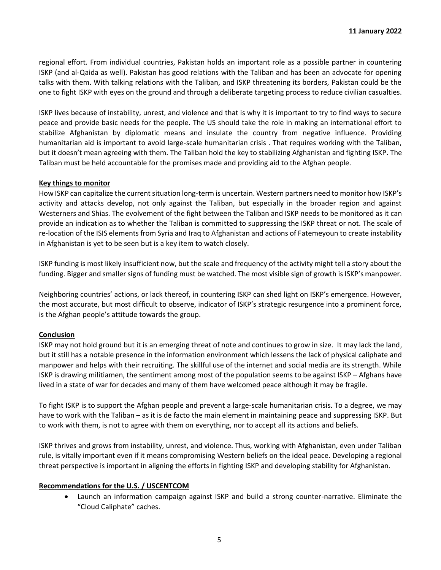regional effort. From individual countries, Pakistan holds an important role as a possible partner in countering ISKP (and al-Qaida as well). Pakistan has good relations with the Taliban and has been an advocate for opening talks with them. With talking relations with the Taliban, and ISKP threatening its borders, Pakistan could be the one to fight ISKP with eyes on the ground and through a deliberate targeting process to reduce civilian casualties.

ISKP lives because of instability, unrest, and violence and that is why it is important to try to find ways to secure peace and provide basic needs for the people. The US should take the role in making an international effort to stabilize Afghanistan by diplomatic means and insulate the country from negative influence. Providing humanitarian aid is important to avoid large-scale humanitarian crisis . That requires working with the Taliban, but it doesn't mean agreeing with them. The Taliban hold the key to stabilizing Afghanistan and fighting ISKP. The Taliban must be held accountable for the promises made and providing aid to the Afghan people.

#### **Key things to monitor**

How ISKP can capitalize the current situation long-term is uncertain. Western partners need to monitor how ISKP's activity and attacks develop, not only against the Taliban, but especially in the broader region and against Westerners and Shias. The evolvement of the fight between the Taliban and ISKP needs to be monitored as it can provide an indication as to whether the Taliban is committed to suppressing the ISKP threat or not. The scale of re-location of the ISIS elements from Syria and Iraq to Afghanistan and actions of Fatemeyoun to create instability in Afghanistan is yet to be seen but is a key item to watch closely.

ISKP funding is most likely insufficient now, but the scale and frequency of the activity might tell a story about the funding. Bigger and smaller signs of funding must be watched. The most visible sign of growth is ISKP's manpower.

Neighboring countries' actions, or lack thereof, in countering ISKP can shed light on ISKP's emergence. However, the most accurate, but most difficult to observe, indicator of ISKP's strategic resurgence into a prominent force, is the Afghan people's attitude towards the group.

## **Conclusion**

ISKP may not hold ground but it is an emerging threat of note and continues to grow in size. It may lack the land, but it still has a notable presence in the information environment which lessens the lack of physical caliphate and manpower and helps with their recruiting. The skillful use of the internet and social media are its strength. While ISKP is drawing militiamen, the sentiment among most of the population seems to be against ISKP – Afghans have lived in a state of war for decades and many of them have welcomed peace although it may be fragile.

To fight ISKP is to support the Afghan people and prevent a large-scale humanitarian crisis. To a degree, we may have to work with the Taliban – as it is de facto the main element in maintaining peace and suppressing ISKP. But to work with them, is not to agree with them on everything, nor to accept all its actions and beliefs.

ISKP thrives and grows from instability, unrest, and violence. Thus, working with Afghanistan, even under Taliban rule, is vitally important even if it means compromising Western beliefs on the ideal peace. Developing a regional threat perspective is important in aligning the efforts in fighting ISKP and developing stability for Afghanistan.

## **Recommendations for the U.S. / USCENTCOM**

• Launch an information campaign against ISKP and build a strong counter-narrative. Eliminate the "Cloud Caliphate" caches.